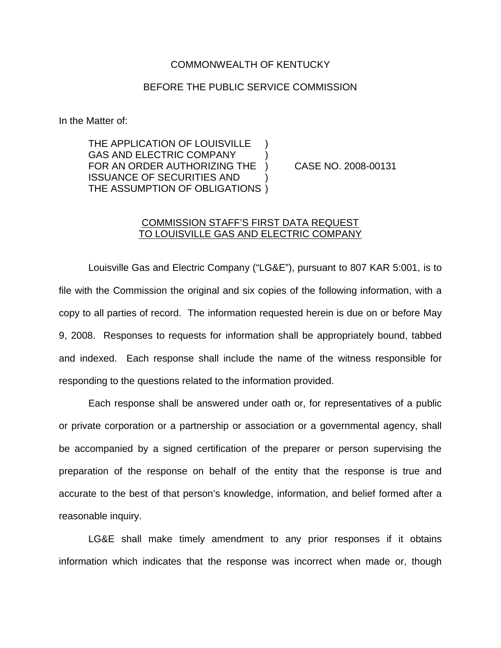## COMMONWEALTH OF KENTUCKY

## BEFORE THE PUBLIC SERVICE COMMISSION

In the Matter of:

THE APPLICATION OF LOUISVILLE GAS AND ELECTRIC COMPANY FOR AN ORDER AUTHORIZING THE ) CASE NO. 2008-00131 ISSUANCE OF SECURITIES AND ) THE ASSUMPTION OF OBLIGATIONS )

## COMMISSION STAFF'S FIRST DATA REQUEST TO LOUISVILLE GAS AND ELECTRIC COMPANY

Louisville Gas and Electric Company ("LG&E"), pursuant to 807 KAR 5:001, is to file with the Commission the original and six copies of the following information, with a copy to all parties of record. The information requested herein is due on or before May 9, 2008. Responses to requests for information shall be appropriately bound, tabbed and indexed. Each response shall include the name of the witness responsible for responding to the questions related to the information provided.

Each response shall be answered under oath or, for representatives of a public or private corporation or a partnership or association or a governmental agency, shall be accompanied by a signed certification of the preparer or person supervising the preparation of the response on behalf of the entity that the response is true and accurate to the best of that person's knowledge, information, and belief formed after a reasonable inquiry.

LG&E shall make timely amendment to any prior responses if it obtains information which indicates that the response was incorrect when made or, though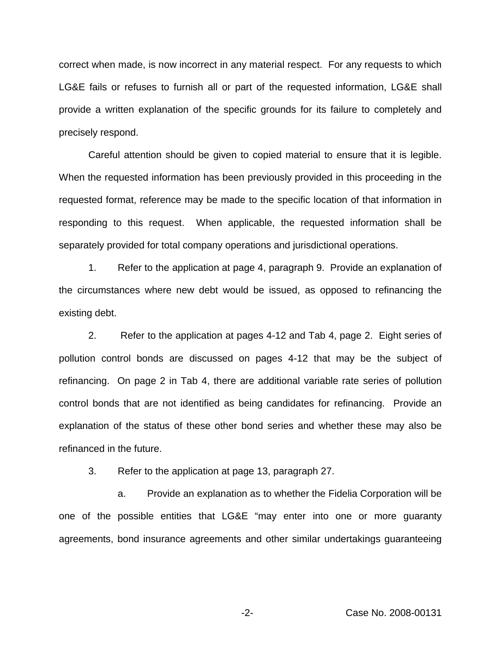correct when made, is now incorrect in any material respect. For any requests to which LG&E fails or refuses to furnish all or part of the requested information, LG&E shall provide a written explanation of the specific grounds for its failure to completely and precisely respond.

Careful attention should be given to copied material to ensure that it is legible. When the requested information has been previously provided in this proceeding in the requested format, reference may be made to the specific location of that information in responding to this request. When applicable, the requested information shall be separately provided for total company operations and jurisdictional operations.

1. Refer to the application at page 4, paragraph 9. Provide an explanation of the circumstances where new debt would be issued, as opposed to refinancing the existing debt.

2. Refer to the application at pages 4-12 and Tab 4, page 2. Eight series of pollution control bonds are discussed on pages 4-12 that may be the subject of refinancing. On page 2 in Tab 4, there are additional variable rate series of pollution control bonds that are not identified as being candidates for refinancing. Provide an explanation of the status of these other bond series and whether these may also be refinanced in the future.

3. Refer to the application at page 13, paragraph 27.

a. Provide an explanation as to whether the Fidelia Corporation will be one of the possible entities that LG&E "may enter into one or more guaranty agreements, bond insurance agreements and other similar undertakings guaranteeing

-2- Case No. 2008-00131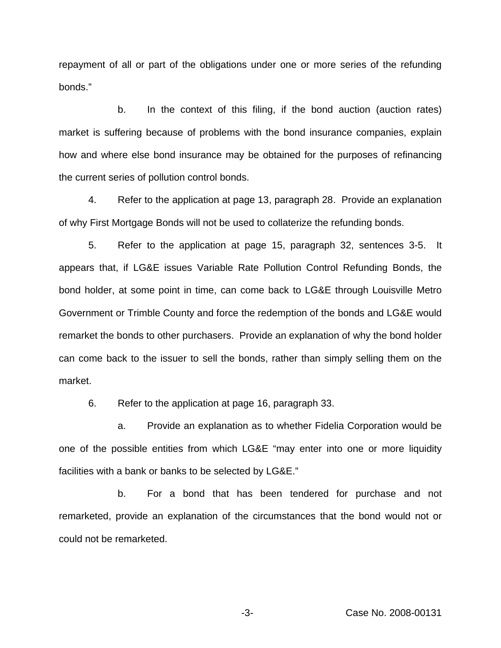repayment of all or part of the obligations under one or more series of the refunding bonds."

b. In the context of this filing, if the bond auction (auction rates) market is suffering because of problems with the bond insurance companies, explain how and where else bond insurance may be obtained for the purposes of refinancing the current series of pollution control bonds.

4. Refer to the application at page 13, paragraph 28. Provide an explanation of why First Mortgage Bonds will not be used to collaterize the refunding bonds.

5. Refer to the application at page 15, paragraph 32, sentences 3-5. It appears that, if LG&E issues Variable Rate Pollution Control Refunding Bonds, the bond holder, at some point in time, can come back to LG&E through Louisville Metro Government or Trimble County and force the redemption of the bonds and LG&E would remarket the bonds to other purchasers. Provide an explanation of why the bond holder can come back to the issuer to sell the bonds, rather than simply selling them on the market.

6. Refer to the application at page 16, paragraph 33.

a. Provide an explanation as to whether Fidelia Corporation would be one of the possible entities from which LG&E "may enter into one or more liquidity facilities with a bank or banks to be selected by LG&E."

b. For a bond that has been tendered for purchase and not remarketed, provide an explanation of the circumstances that the bond would not or could not be remarketed.

-3- Case No. 2008-00131